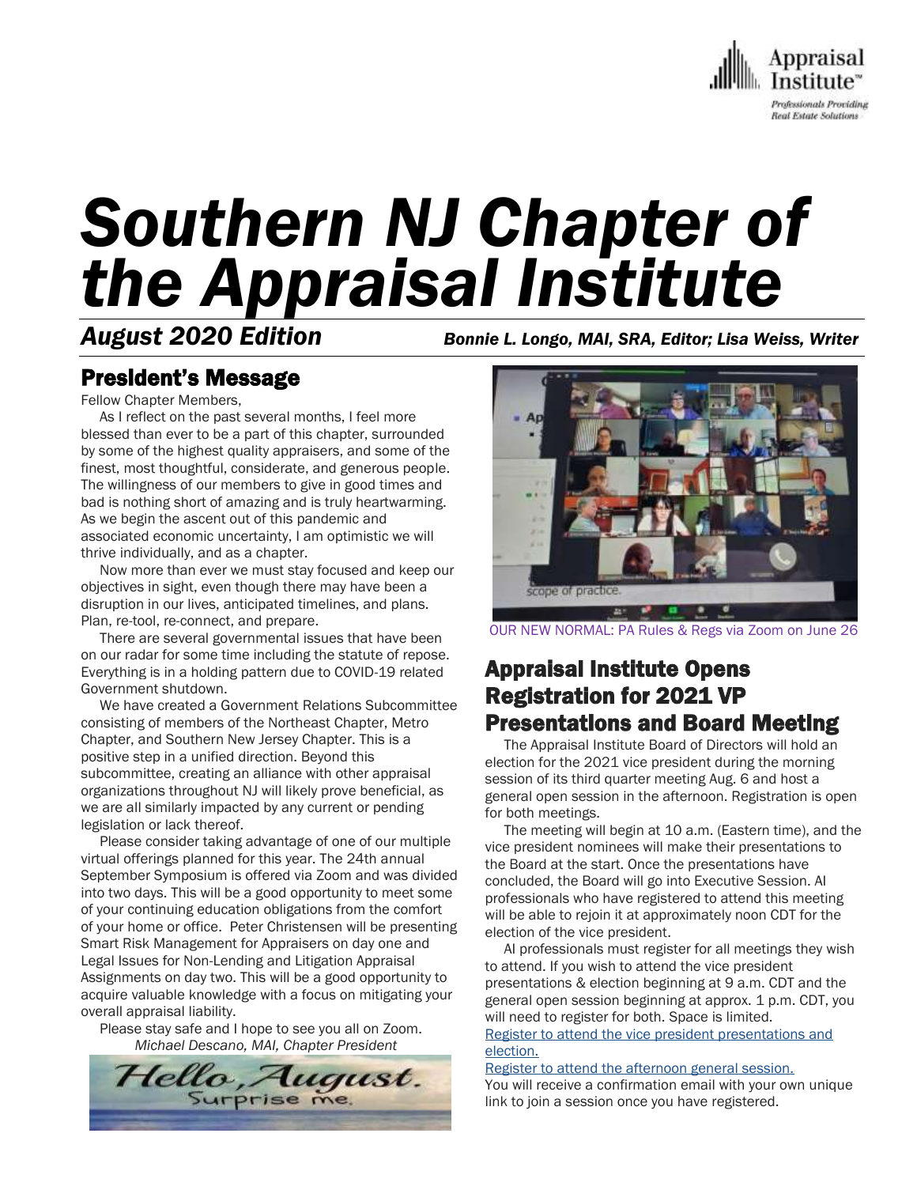

# *Southern NJ Chapter of the Appraisal Institute*

*August 2020 Edition Bonnie L. Longo, MAI, SRA, Editor; Lisa Weiss, Writer*

## President's Message

Fellow Chapter Members,

 As I reflect on the past several months, I feel more blessed than ever to be a part of this chapter, surrounded by some of the highest quality appraisers, and some of the finest, most thoughtful, considerate, and generous people. The willingness of our members to give in good times and bad is nothing short of amazing and is truly heartwarming. As we begin the ascent out of this pandemic and associated economic uncertainty, I am optimistic we will thrive individually, and as a chapter.

 Now more than ever we must stay focused and keep our objectives in sight, even though there may have been a disruption in our lives, anticipated timelines, and plans. Plan, re-tool, re-connect, and prepare.

 There are several governmental issues that have been on our radar for some time including the statute of repose. Everything is in a holding pattern due to COVID-19 related Government shutdown.

 We have created a Government Relations Subcommittee consisting of members of the Northeast Chapter, Metro Chapter, and Southern New Jersey Chapter. This is a positive step in a unified direction. Beyond this subcommittee, creating an alliance with other appraisal organizations throughout NJ will likely prove beneficial, as we are all similarly impacted by any current or pending legislation or lack thereof.

 Please consider taking advantage of one of our multiple virtual offerings planned for this year. The 24th annual September Symposium is offered via Zoom and was divided into two days. This will be a good opportunity to meet some of your continuing education obligations from the comfort of your home or office. Peter Christensen will be presenting Smart Risk Management for Appraisers on day one and Legal Issues for Non-Lending and Litigation Appraisal Assignments on day two. This will be a good opportunity to acquire valuable knowledge with a focus on mitigating your overall appraisal liability.

 Please stay safe and I hope to see you all on Zoom. *Michael Descano, MAI, Chapter President*





OUR NEW NORMAL: PA Rules & Regs via Zoom on June 26

## Appraisal Institute Opens Registration for 2021 VP Presentations and Board Meeting

 The Appraisal Institute Board of Directors will hold an election for the 2021 vice president during the morning session of its third quarter meeting Aug. 6 and host a general open session in the afternoon. Registration is open for both meetings.

 The meeting will begin at 10 a.m. (Eastern time), and the vice president nominees will make their presentations to the Board at the start. Once the presentations have concluded, the Board will go into Executive Session. AI professionals who have registered to attend this meeting will be able to rejoin it at approximately noon CDT for the election of the vice president.

 AI professionals must register for all meetings they wish to attend. If you wish to attend the vice president presentations & election beginning at 9 a.m. CDT and the general open session beginning at approx. 1 p.m. CDT, you will need to register for both. Space is limited.

[Register to attend the vice president presentations and](https://attendee.gotowebinar.com/register/5133786224884199436)  [election.](https://attendee.gotowebinar.com/register/5133786224884199436) [Register to attend the afternoon general session.](https://attendee.gotowebinar.com/register/3415739932856412684)

You will receive a confirmation email with your own unique link to join a session once you have registered.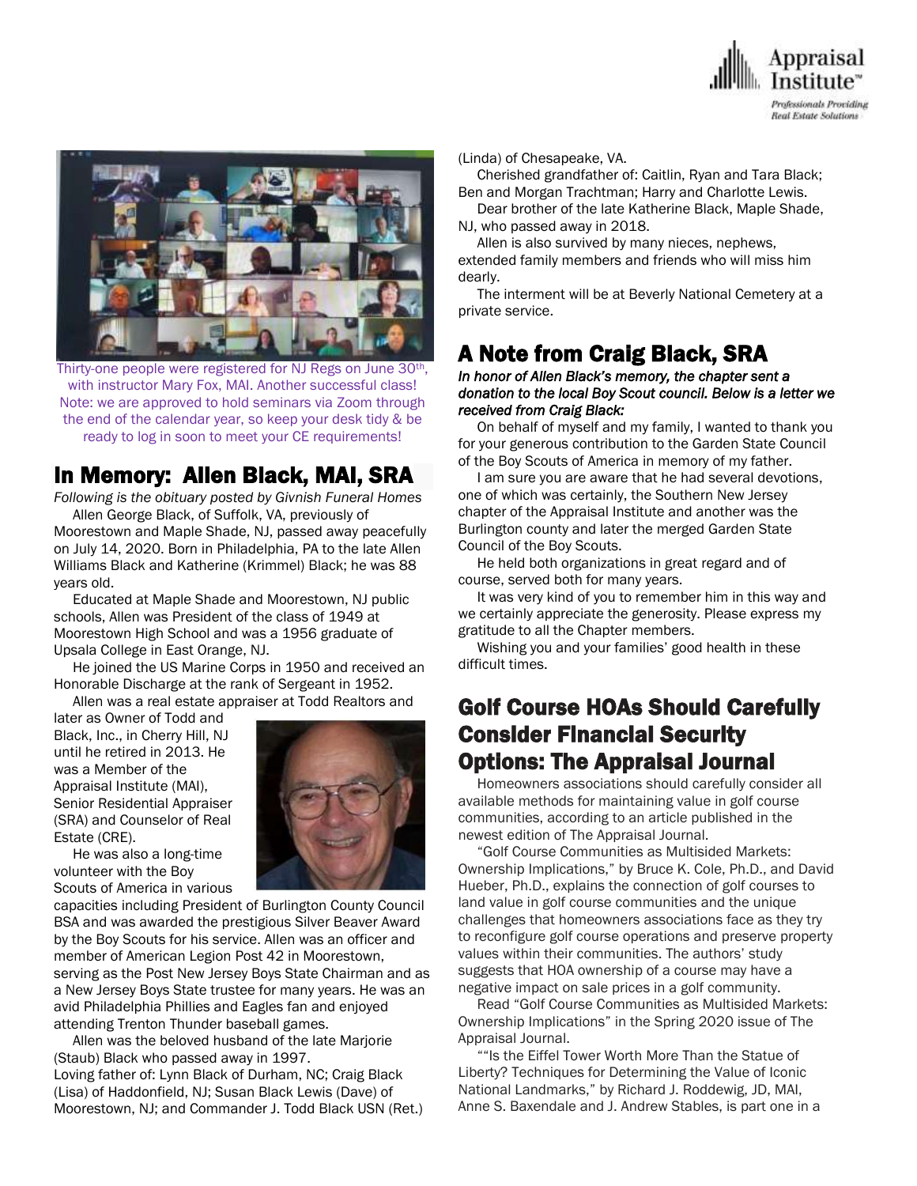



Thirty-one people were registered for NJ Regs on June 30th, with instructor Mary Fox, MAI. Another successful class! Note: we are approved to hold seminars via Zoom through the end of the calendar year, so keep your desk tidy & be ready to log in soon to meet your CE requirements!

## In Memory: Allen Black, MAI, SRA

*Following is the obituary posted by Givnish Funeral Homes* Allen George Black, of Suffolk, VA, previously of Moorestown and Maple Shade, NJ, passed away peacefully on July 14, 2020. Born in Philadelphia, PA to the late Allen Williams Black and Katherine (Krimmel) Black; he was 88 years old.

 Educated at Maple Shade and Moorestown, NJ public schools, Allen was President of the class of 1949 at Moorestown High School and was a 1956 graduate of Upsala College in East Orange, NJ.

 He joined the US Marine Corps in 1950 and received an Honorable Discharge at the rank of Sergeant in 1952. Allen was a real estate appraiser at Todd Realtors and

later as Owner of Todd and Black, Inc., in Cherry Hill, NJ until he retired in 2013. He was a Member of the Appraisal Institute (MAI), Senior Residential Appraiser (SRA) and Counselor of Real Estate (CRE).



 He was also a long-time volunteer with the Boy Scouts of America in various

capacities including President of Burlington County Council BSA and was awarded the prestigious Silver Beaver Award by the Boy Scouts for his service. Allen was an officer and member of American Legion Post 42 in Moorestown, serving as the Post New Jersey Boys State Chairman and as a New Jersey Boys State trustee for many years. He was an avid Philadelphia Phillies and Eagles fan and enjoyed attending Trenton Thunder baseball games.

 Allen was the beloved husband of the late Marjorie (Staub) Black who passed away in 1997. Loving father of: Lynn Black of Durham, NC; Craig Black (Lisa) of Haddonfield, NJ; Susan Black Lewis (Dave) of Moorestown, NJ; and Commander J. Todd Black USN (Ret.) (Linda) of Chesapeake, VA.

 Cherished grandfather of: Caitlin, Ryan and Tara Black; Ben and Morgan Trachtman; Harry and Charlotte Lewis.

 Dear brother of the late Katherine Black, Maple Shade, NJ, who passed away in 2018.

 Allen is also survived by many nieces, nephews, extended family members and friends who will miss him dearly.

 The interment will be at Beverly National Cemetery at a private service.

# A Note from Craig Black, SRA

#### *In honor of Allen Black's memory, the chapter sent a donation to the local Boy Scout council. Below is a letter we received from Craig Black:*

 On behalf of myself and my family, I wanted to thank you for your generous contribution to the Garden State Council of the Boy Scouts of America in memory of my father.

 I am sure you are aware that he had several devotions, one of which was certainly, the Southern New Jersey chapter of the Appraisal Institute and another was the Burlington county and later the merged Garden State Council of the Boy Scouts.

 He held both organizations in great regard and of course, served both for many years.

 It was very kind of you to remember him in this way and we certainly appreciate the generosity. Please express my gratitude to all the Chapter members.

 Wishing you and your families' good health in these difficult times.

## Golf Course HOAs Should Carefully Consider Financial Security Options: The Appraisal Journal

 Homeowners associations should carefully consider all available methods for maintaining value in golf course communities, according to an article published in the newest edition of The Appraisal Journal.

 "Golf Course Communities as Multisided Markets: Ownership Implications," by Bruce K. Cole, Ph.D., and David Hueber, Ph.D., explains the connection of golf courses to land value in golf course communities and the unique challenges that homeowners associations face as they try to reconfigure golf course operations and preserve property values within their communities. The authors' study suggests that HOA ownership of a course may have a negative impact on sale prices in a golf community.

 Read "Golf Course Communities as Multisided Markets: Ownership Implications" in the Spring 2020 issue of The Appraisal Journal.

 ""Is the Eiffel Tower Worth More Than the Statue of Liberty? Techniques for Determining the Value of Iconic National Landmarks," by Richard J. Roddewig, JD, MAI, Anne S. Baxendale and J. Andrew Stables, is part one in a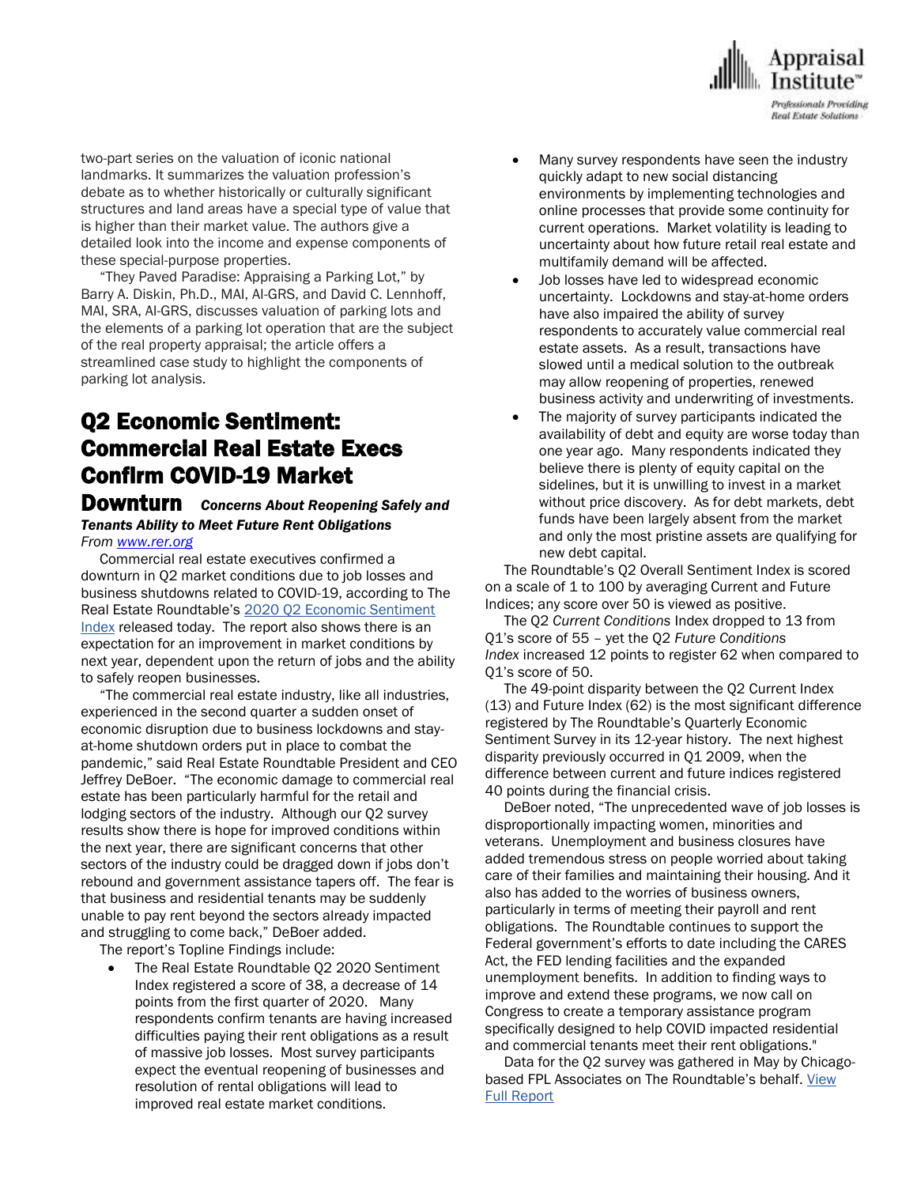

two-part series on the valuation of iconic national landmarks. It summarizes the valuation profession's debate as to whether historically or culturally significant structures and land areas have a special type of value that is higher than their market value. The authors give a detailed look into the income and expense components of these special-purpose properties.

 "They Paved Paradise: Appraising a Parking Lot," by Barry A. Diskin, Ph.D., MAI, AI-GRS, and David C. Lennhoff, MAI, SRA, AI-GRS, discusses valuation of parking lots and the elements of a parking lot operation that are the subject of the real property appraisal; the article offers a streamlined case study to highlight the components of parking lot analysis.

# Q2 Economic Sentiment: Commercial Real Estate Execs Confirm COVID-19 Market

#### Downturn *Concerns About Reopening Safely and Tenants Ability to Meet Future Rent Obligations From [www.rer.org](http://www.rer.org/)*

 Commercial real estate executives confirmed a downturn in Q2 market conditions due to job losses and business shutdowns related to COVID-19, according to The Real Estate Roundtable's [2020 Q2 Economic Sentiment](https://www.rer.org/docs/default-source/economic-sentiment/2020/q220-rer-sentiment-survey-report-v2.pdf?sfvrsn=97529be7_2)  [Index](https://www.rer.org/docs/default-source/economic-sentiment/2020/q220-rer-sentiment-survey-report-v2.pdf?sfvrsn=97529be7_2) released today. The report also shows there is an expectation for an improvement in market conditions by next year, dependent upon the return of jobs and the ability to safely reopen businesses.

 "The commercial real estate industry, like all industries, experienced in the second quarter a sudden onset of economic disruption due to business lockdowns and stayat-home shutdown orders put in place to combat the pandemic," said Real Estate Roundtable President and CEO Jeffrey DeBoer. "The economic damage to commercial real estate has been particularly harmful for the retail and lodging sectors of the industry. Although our Q2 survey results show there is hope for improved conditions within the next year, there are significant concerns that other sectors of the industry could be dragged down if jobs don't rebound and government assistance tapers off. The fear is that business and residential tenants may be suddenly unable to pay rent beyond the sectors already impacted and struggling to come back," DeBoer added.

The report's Topline Findings include:

 The Real Estate Roundtable Q2 2020 Sentiment Index registered a score of 38, a decrease of 14 points from the first quarter of 2020. Many respondents confirm tenants are having increased difficulties paying their rent obligations as a result of massive job losses. Most survey participants expect the eventual reopening of businesses and resolution of rental obligations will lead to improved real estate market conditions.

- Many survey respondents have seen the industry quickly adapt to new social distancing environments by implementing technologies and online processes that provide some continuity for current operations. Market volatility is leading to uncertainty about how future retail real estate and multifamily demand will be affected.
- Job losses have led to widespread economic uncertainty. Lockdowns and stay-at-home orders have also impaired the ability of survey respondents to accurately value commercial real estate assets. As a result, transactions have slowed until a medical solution to the outbreak may allow reopening of properties, renewed business activity and underwriting of investments.
- The majority of survey participants indicated the availability of debt and equity are worse today than one year ago. Many respondents indicated they believe there is plenty of equity capital on the sidelines, but it is unwilling to invest in a market without price discovery. As for debt markets, debt funds have been largely absent from the market and only the most pristine assets are qualifying for new debt capital.

 The Roundtable's Q2 Overall Sentiment Index is scored on a scale of 1 to 100 by averaging Current and Future Indices; any score over 50 is viewed as positive.

 The Q2 *Current Conditions* Index dropped to 13 from Q1's score of 55 – yet the Q2 *Future Conditions Index* increased 12 points to register 62 when compared to Q1's score of 50.

 The 49-point disparity between the Q2 Current Index (13) and Future Index (62) is the most significant difference registered by The Roundtable's Quarterly Economic Sentiment Survey in its 12-year history. The next highest disparity previously occurred in Q1 2009, when the difference between current and future indices registered 40 points during the financial crisis.

 DeBoer noted, "The unprecedented wave of job losses is disproportionally impacting women, minorities and veterans. Unemployment and business closures have added tremendous stress on people worried about taking care of their families and maintaining their housing. And it also has added to the worries of business owners, particularly in terms of meeting their payroll and rent obligations. The Roundtable continues to support the Federal government's efforts to date including the CARES Act, the FED lending facilities and the expanded unemployment benefits. In addition to finding ways to improve and extend these programs, we now call on Congress to create a temporary assistance program specifically designed to help COVID impacted residential and commercial tenants meet their rent obligations."

 Data for the Q2 survey was gathered in May by Chicagobased FPL Associates on The Roundtable's behalf. View [Full Report](https://www.rer.org/docs/default-source/economic-sentiment/2020/q220-rer-sentiment-survey-report-v2.pdf?sfvrsn=97529be7_2)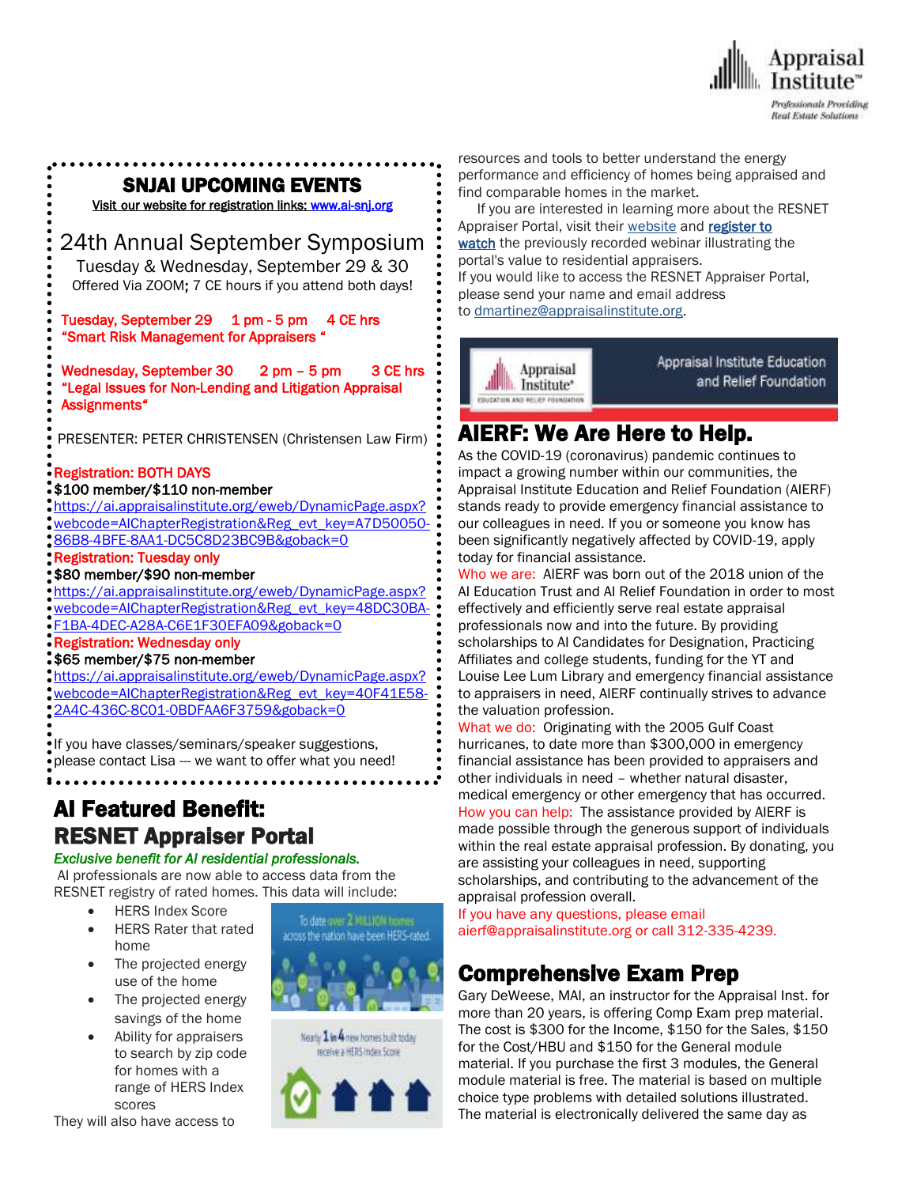

#### $\overline{\phantom{a}}$ SNJAI UPCOMING EVENTS

[Visit](http://www.myappraisalinstitute.org/education/southernNewJersey) our website for registration links[: www.ai-snj.org](http://www.ai-snj.org/) 

## 24th Annual September Symposium

Tuesday & Wednesday, September 29 & 30 Offered Via ZOOM; 7 CE hours if you attend both days!

Tuesday, September 29 1 pm - 5 pm 4 CE hrs "Smart Risk Management for Appraisers "

Wednesday, September 30 2 pm - 5 pm 3 CE hrs "Legal Issues for Non-Lending and Litigation Appraisal Assignments"

PRESENTER: PETER CHRISTENSEN (Christensen Law Firm)

#### Registration: BOTH DAYS

#### \$100 member/\$110 non-member

[https://ai.appraisalinstitute.org/eweb/DynamicPage.aspx?](https://ai.appraisalinstitute.org/eweb/DynamicPage.aspx?webcode=AIChapterRegistration&Reg_evt_key=A7D50050-86B8-4BFE-8AA1-DC5C8D23BC9B&goback=0) [webcode=AIChapterRegistration&Reg\\_evt\\_key=A7D50050-](https://ai.appraisalinstitute.org/eweb/DynamicPage.aspx?webcode=AIChapterRegistration&Reg_evt_key=A7D50050-86B8-4BFE-8AA1-DC5C8D23BC9B&goback=0) [86B8-4BFE-8AA1-DC5C8D23BC9B&goback=0](https://ai.appraisalinstitute.org/eweb/DynamicPage.aspx?webcode=AIChapterRegistration&Reg_evt_key=A7D50050-86B8-4BFE-8AA1-DC5C8D23BC9B&goback=0)

#### Registration: Tuesday only

#### \$80 member/\$90 non-member

[https://ai.appraisalinstitute.org/eweb/DynamicPage.aspx?](https://ai.appraisalinstitute.org/eweb/DynamicPage.aspx?webcode=AIChapterRegistration&Reg_evt_key=48DC30BA-F1BA-4DEC-A28A-C6E1F30EFA09&goback=0) [webcode=AIChapterRegistration&Reg\\_evt\\_key=48DC30BA-](https://ai.appraisalinstitute.org/eweb/DynamicPage.aspx?webcode=AIChapterRegistration&Reg_evt_key=48DC30BA-F1BA-4DEC-A28A-C6E1F30EFA09&goback=0)

[F1BA-4DEC-A28A-C6E1F30EFA09&goback=0](https://ai.appraisalinstitute.org/eweb/DynamicPage.aspx?webcode=AIChapterRegistration&Reg_evt_key=48DC30BA-F1BA-4DEC-A28A-C6E1F30EFA09&goback=0)

#### Registration: Wednesday only

\$65 member/\$75 non-member

[https://ai.appraisalinstitute.org/eweb/DynamicPage.aspx?](https://ai.appraisalinstitute.org/eweb/DynamicPage.aspx?webcode=AIChapterRegistration&Reg_evt_key=40F41E58-2A4C-436C-8C01-0BDFAA6F3759&goback=0) [webcode=AIChapterRegistration&Reg\\_evt\\_key=40F41E58-](https://ai.appraisalinstitute.org/eweb/DynamicPage.aspx?webcode=AIChapterRegistration&Reg_evt_key=40F41E58-2A4C-436C-8C01-0BDFAA6F3759&goback=0) [2A4C-436C-8C01-0BDFAA6F3759&goback=0](https://ai.appraisalinstitute.org/eweb/DynamicPage.aspx?webcode=AIChapterRegistration&Reg_evt_key=40F41E58-2A4C-436C-8C01-0BDFAA6F3759&goback=0)

If you have classes/seminars/speaker suggestions, please contact Lisa --- we want to offer what you need!

## AI Featured Benefit: RESNET Appraiser Portal

. . . . . . . . . . . . . . .

#### *Exclusive benefit for AI residential professionals.*

AI professionals are now able to access data from the RESNET registry of rated homes. This data will include:

- **•** HERS Index Score
- HERS Rater that rated home
- The projected energy use of the home
- The projected energy savings of the home
- Ability for appraisers to search by zip code for homes with a range of HERS Index scores

They will also have access to







resources and tools to better understand the energy performance and efficiency of homes being appraised and find comparable homes in the market.

 If you are interested in learning more about the RESNET Appraiser Portal, visit their [website](http://www.resnet.us/appraisers/) and register to [watch](https://register.gotowebinar.com/recording/5199145575243441155) the previously recorded webinar illustrating the portal's value to residential appraisers. If you would like to access the RESNET Appraiser Portal, please send your name and email address

to [dmartinez@appraisalinstitute.org.](mailto:sbrody@appraisalinstitute.org)



# AIERF: We Are Here to Help.

As the COVID-19 (coronavirus) pandemic continues to impact a growing number within our communities, the Appraisal Institute Education and Relief Foundation (AIERF) stands ready to provide emergency financial assistance to our colleagues in need. If you or someone you know has been significantly negatively affected by COVID-19, apply today for financial assistance.

Who we are: AIERF was born out of the 2018 union of the AI Education Trust and AI Relief Foundation in order to most effectively and efficiently serve real estate appraisal professionals now and into the future. By providing scholarships to AI Candidates for Designation, Practicing Affiliates and college students, funding for the YT and Louise Lee Lum Library and emergency financial assistance to appraisers in need, AIERF continually strives to advance the valuation profession.

What we do: Originating with the 2005 Gulf Coast hurricanes, to date more than \$300,000 in emergency financial assistance has been provided to appraisers and other individuals in need – whether natural disaster, medical emergency or other emergency that has occurred. How you can help: The assistance provided by AIERF is made possible through the generous support of individuals within the real estate appraisal profession. By donating, you are assisting your colleagues in need, supporting scholarships, and contributing to the advancement of the appraisal profession overall.

If you have any questions, please email aierf@appraisalinstitute.org or call 312-335-4239.

# Comprehensive Exam Prep

Gary DeWeese, MAI, an instructor for the Appraisal Inst. for more than 20 years, is offering Comp Exam prep material. The cost is \$300 for the Income, \$150 for the Sales, \$150 for the Cost/HBU and \$150 for the General module material. If you purchase the first 3 modules, the General module material is free. The material is based on multiple choice type problems with detailed solutions illustrated. The material is electronically delivered the same day as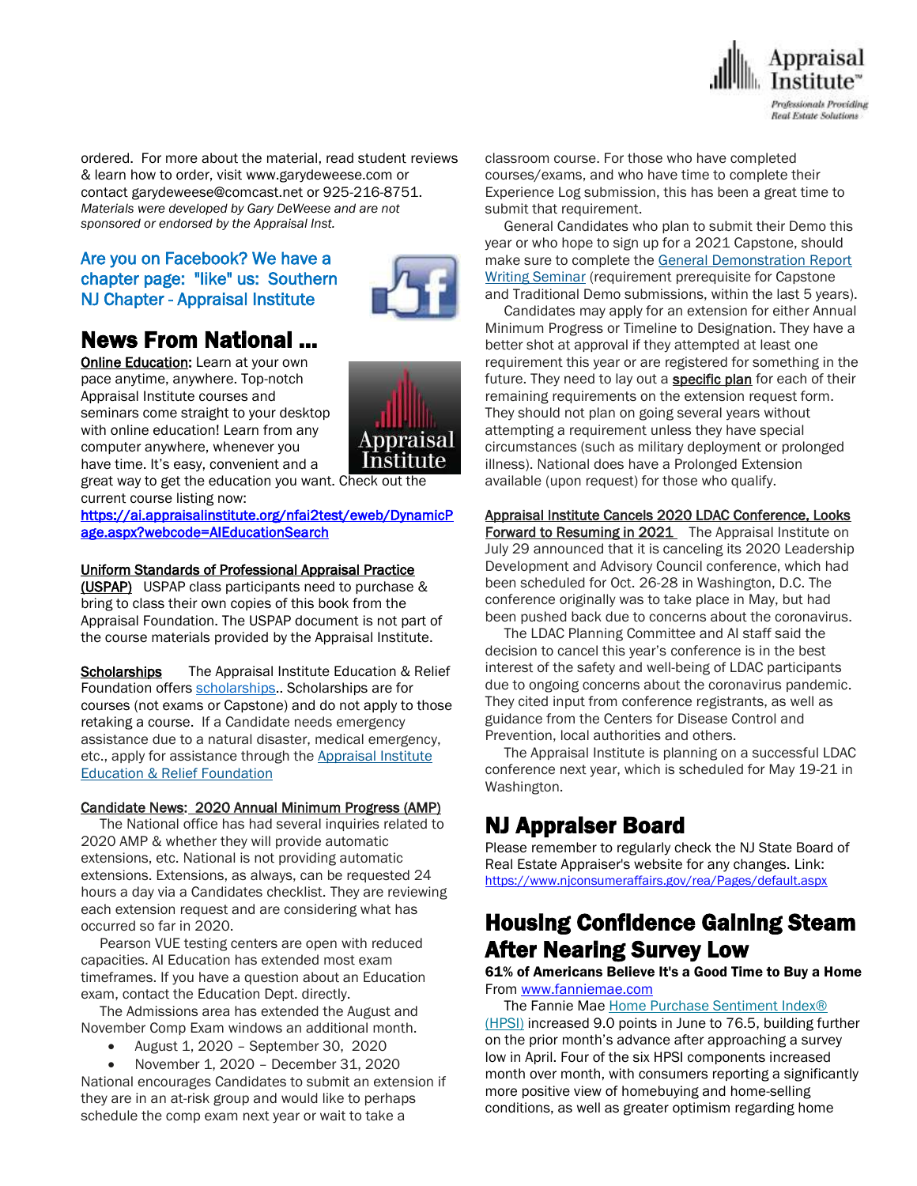

ordered. For more about the material, read student reviews & learn how to order, visit www.garydeweese.com or contact garydeweese@comcast.net or 925-216-8751. *Materials were developed by Gary DeWeese and are not sponsored or endorsed by the Appraisal Inst.*

#### Are you on Facebook? We have a chapter page: "like" us: Southern NJ Chapter - Appraisal Institute



# News From National …

**[Online Education:](http://www.mmsend50.com/ls.cfm?r=99596491&sid=8974475&m=957997&u=Appraise&s=http://www.appraisalinstitute.org/online)** Learn at your own pace anytime, anywhere. Top-notch Appraisal Institute courses and seminars come straight to your desktop with online education! Learn from any computer anywhere, whenever you have time. It's easy, convenient and a



great way to get the education you want. Check out the current course listing now:

[https://ai.appraisalinstitute.org/nfai2test/eweb/DynamicP](https://ai.appraisalinstitute.org/nfai2test/eweb/DynamicPage.aspx?webcode=AIEducationSearch) [age.aspx?webcode=AIEducationSearch](https://ai.appraisalinstitute.org/nfai2test/eweb/DynamicPage.aspx?webcode=AIEducationSearch) 

#### Uniform Standards of Professional Appraisal Practice

(USPAP) USPAP class participants need to purchase & bring to class their own copies of this book from the Appraisal Foundation. The USPAP document is not part of the course materials provided by the Appraisal Institute.

Scholarships The Appraisal Institute Education & Relief Foundation offers [scholarships.](http://send.appraisalinstitute.org/link.cfm?r=TyxXOooBFM-9kcaVyjABIA~~&pe=k_y06NsR9-tB3atEDYdXWLTTqBM_H3aeIPclU_7mx0sd29sU_T_sOiJTIa3747wAJXWGK_wLmsw-M82swC-Ijw~~&t=jouIQRRPlOfDkLqJe5AmNA~~). Scholarships are for courses (not exams or Capstone) and do not apply to those retaking a course. If a Candidate needs emergency assistance due to a natural disaster, medical emergency, etc., apply for assistance through the Appraisal Institute Education & Relief Foundation

#### Candidate News: 2020 Annual Minimum Progress (AMP)

 The National office has had several inquiries related to 2020 AMP & whether they will provide automatic extensions, etc. National is not providing automatic extensions. Extensions, as always, can be requested 24 hours a day via a Candidates checklist. They are reviewing each extension request and are considering what has occurred so far in 2020.

 Pearson VUE testing centers are open with reduced capacities. AI Education has extended most exam timeframes. If you have a question about an Education exam, contact the Education Dept. directly.

 The Admissions area has extended the August and November Comp Exam windows an additional month.

August 1, 2020 – September 30, 2020

 November 1, 2020 – December 31, 2020 National encourages Candidates to submit an extension if they are in an at-risk group and would like to perhaps schedule the comp exam next year or wait to take a

classroom course. For those who have completed courses/exams, and who have time to complete their Experience Log submission, this has been a great time to submit that requirement.

 General Candidates who plan to submit their Demo this year or who hope to sign up for a 2021 Capstone, should make sure to complete the General [Demonstration](http://send.appraisalinstitute.org/link.cfm?r=vwtD93oHHyUAMd-FHE_JHA~~&pe=TIbR9YlP07rCkvojFW31Y1SmjTkQO48teK0McPbGJ770QNqoxH6NtCDscSbuf-KUeP1N__RVpBWM7yxrmuL7Dw~~&t=785lvd7vG-AdSOgl-1u1LQ~~) Report Writing [Seminar](http://send.appraisalinstitute.org/link.cfm?r=vwtD93oHHyUAMd-FHE_JHA~~&pe=TIbR9YlP07rCkvojFW31Y1SmjTkQO48teK0McPbGJ770QNqoxH6NtCDscSbuf-KUeP1N__RVpBWM7yxrmuL7Dw~~&t=785lvd7vG-AdSOgl-1u1LQ~~) (requirement prerequisite for Capstone and Traditional Demo submissions, within the last 5 years).

 Candidates may apply for an extension for either Annual Minimum Progress or Timeline to Designation. They have a better shot at approval if they attempted at least one requirement this year or are registered for something in the future. They need to lay out a **specific plan** for each of their remaining requirements on the extension request form. They should not plan on going several years without attempting a requirement unless they have special circumstances (such as military deployment or prolonged illness). National does have a Prolonged Extension available (upon request) for those who qualify.

Appraisal Institute Cancels 2020 LDAC Conference, Looks **Forward to Resuming in 2021** The Appraisal Institute on July 29 announced that it is canceling its 2020 Leadership Development and Advisory Council conference, which had been scheduled for Oct. 26-28 in Washington, D.C. The conference originally was to take place in May, but had been pushed back due to concerns about the coronavirus.

 The LDAC Planning Committee and AI staff said the decision to cancel this year's conference is in the best interest of the safety and well-being of LDAC participants due to ongoing concerns about the coronavirus pandemic. They cited input from conference registrants, as well as guidance from the Centers for Disease Control and Prevention, local authorities and others.

 The Appraisal Institute is planning on a successful LDAC conference next year, which is scheduled for May 19-21 in Washington.

## NJ Appraiser Board

Please remember to regularly check the NJ State Board of Real Estate Appraiser's website for any changes. Link: <https://www.njconsumeraffairs.gov/rea/Pages/default.aspx>

# Housing Confidence Gaining Steam After Nearing Survey Low

#### 61% of Americans Believe It's a Good Time to Buy a Home From [www.fanniemae.com](http://www.fanniemae.com/)

The Fannie Mae Home Purchase Sentiment Index® [\(HPSI\)](https://www.fanniemae.com/portal/research-insights/surveys/national-housing-survey.html?) increased 9.0 points in June to 76.5, building further on the prior month's advance after approaching a survey low in April. Four of the six HPSI components increased month over month, with consumers reporting a significantly more positive view of homebuying and home-selling conditions, as well as greater optimism regarding home